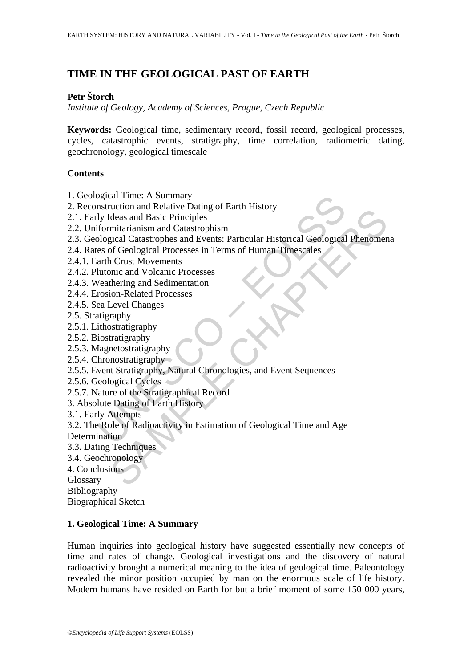# **TIME IN THE GEOLOGICAL PAST OF EARTH**

# **Petr Štorch**

*Institute of Geology, Academy of Sciences, Prague, Czech Republic* 

**Keywords:** Geological time, sedimentary record, fossil record, geological processes, cycles, catastrophic events, stratigraphy, time correlation, radiometric dating, geochronology, geological timescale

# **Contents**

- 1. Geological Time: A Summary
- 2. Reconstruction and Relative Dating of Earth History
- 2.1. Early Ideas and Basic Principles
- 2.2. Uniformitarianism and Catastrophism
- 2.3. Geological Catastrophes and Events: Particular Historical Geological Phenomena
- 2.4. Rates of Geological Processes in Terms of Human Timescales
- 2.4.1. Earth Crust Movements
- 2.4.2. Plutonic and Volcanic Processes
- 2.4.3. Weathering and Sedimentation
- 2.4.4. Erosion-Related Processes
- 2.4.5. Sea Level Changes
- 2.5. Stratigraphy
- 2.5.1. Lithostratigraphy
- 2.5.2. Biostratigraphy
- 2.5.3. Magnetostratigraphy
- 2.5.4. Chronostratigraphy
- 2.5.5. Event Stratigraphy, Natural Chronologies, and Event Sequences
- 2.5.6. Geological Cycles
- 2.5.7. Nature of the Stratigraphical Record
- 3. Absolute Dating of Earth History
- 3.1. Early Attempts
- ogical 1 ime: A Summary<br>
nstruction and Relative Dating of Earth History<br>
nstruction and Relative Dating of Earth History<br>
1 y Ideas and Basic Principles<br>
formitarianism and Catastrophism<br>
ological Catastrophes and Events: Action and Retail Priciples<br>
deas and Basic Principles<br>
mitarianism and Catastrophism<br>
mitarianism and Catastrophism<br>
mitarianism and Catastrophism<br>
CTGelogical Phoenesses in Terms of Human Timescales<br>
of Geological Proces 3.2. The Role of Radioactivity in Estimation of Geological Time and Age Determination
- 3.3. Dating Techniques
- 3.4. Geochronology
- 4. Conclusions

Glossary

Bibliography

Biographical Sketch

# **1. Geological Time: A Summary**

Human inquiries into geological history have suggested essentially new concepts of time and rates of change. Geological investigations and the discovery of natural radioactivity brought a numerical meaning to the idea of geological time. Paleontology revealed the minor position occupied by man on the enormous scale of life history. Modern humans have resided on Earth for but a brief moment of some 150 000 years,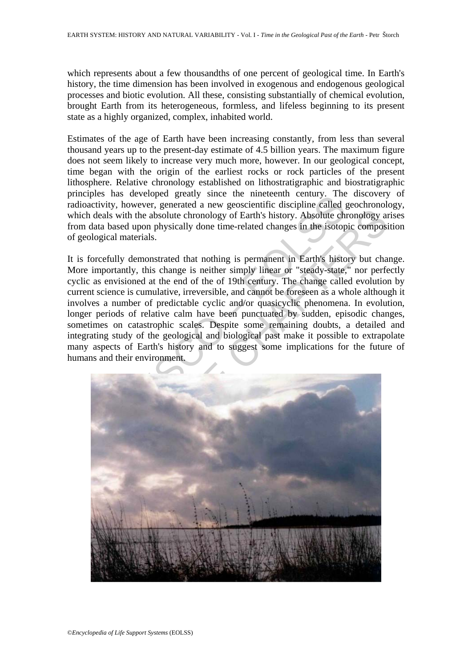which represents about a few thousandths of one percent of geological time. In Earth's history, the time dimension has been involved in exogenous and endogenous geological processes and biotic evolution. All these, consisting substantially of chemical evolution, brought Earth from its heterogeneous, formless, and lifeless beginning to its present state as a highly organized, complex, inhabited world.

Estimates of the age of Earth have been increasing constantly, from less than several thousand years up to the present-day estimate of 4.5 billion years. The maximum figure does not seem likely to increase very much more, however. In our geological concept, time began with the origin of the earliest rocks or rock particles of the present lithosphere. Relative chronology established on lithostratigraphic and biostratigraphic principles has developed greatly since the nineteenth century. The discovery of radioactivity, however, generated a new geoscientific discipline called geochronology, which deals with the absolute chronology of Earth's history. Absolute chronology arises from data based upon physically done time-related changes in the isotopic composition of geological materials.

Example the imeterial of the interesting of the interest and the interest and the interest of the solution of the solution of the solution of the solution of the solution of the solution of the solution of the solution of It is forcefully demonstrated that nothing is permanent in Earth's history but change. More importantly, this change is neither simply linear or "steady-state," nor perfectly cyclic as envisioned at the end of the of 19th century. The change called evolution by current science is cumulative, irreversible, and cannot be foreseen as a whole although it involves a number of predictable cyclic and/or quasicyclic phenomena. In evolution, longer periods of relative calm have been punctuated by sudden, episodic changes, sometimes on catastrophic scales. Despite some remaining doubts, a detailed and integrating study of the geological and biological past make it possible to extrapolate many aspects of Earth's history and to suggest some implications for the future of humans and their environment.

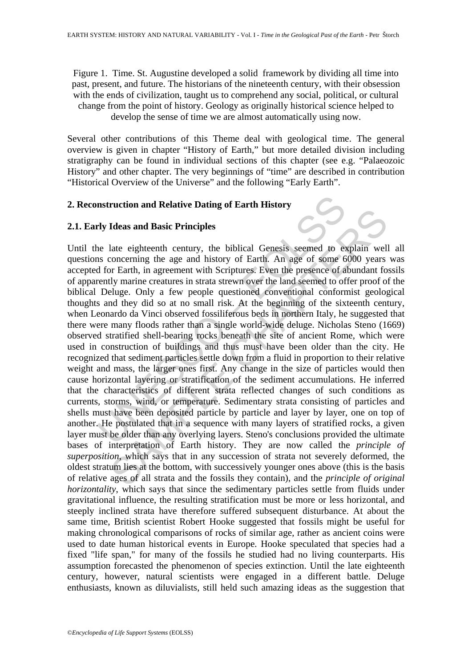Figure 1. Time. St. Augustine developed a solid framework by dividing all time into past, present, and future. The historians of the nineteenth century, with their obsession with the ends of civilization, taught us to comprehend any social, political, or cultural change from the point of history. Geology as originally historical science helped to develop the sense of time we are almost automatically using now.

Several other contributions of this Theme deal with geological time. The general overview is given in chapter "History of Earth," but more detailed division including stratigraphy can be found in individual sections of this chapter (see e.g. "Palaeozoic History" and other chapter. The very beginnings of "time" are described in contribution "Historical Overview of the Universe" and the following "Early Earth".

# **2. Reconstruction and Relative Dating of Earth History**

# **2.1. Early Ideas and Basic Principles**

nstruction and Relative Dating of Earth History<br>
The Ideas and Basic Principles<br>
The late eighteenth century, the biblical Genesis seemed to as<br>
as concerning the age and history of Earth. An age of some 6 of a<br>
Id for Ear Ideas and Basic Principles<br>late eighteenth century, the biblical Genesis seemed to explain well<br>concerning the age and history of Earth. An age of some 6000 years<br>r Earth, in agreement with Scriptures. Even the presence o Until the late eighteenth century, the biblical Genesis seemed to explain well all questions concerning the age and history of Earth. An age of some 6000 years was accepted for Earth, in agreement with Scriptures. Even the presence of abundant fossils of apparently marine creatures in strata strewn over the land seemed to offer proof of the biblical Deluge. Only a few people questioned conventional conformist geological thoughts and they did so at no small risk. At the beginning of the sixteenth century, when Leonardo da Vinci observed fossiliferous beds in northern Italy, he suggested that there were many floods rather than a single world-wide deluge. Nicholas Steno (1669) observed stratified shell-bearing rocks beneath the site of ancient Rome, which were used in construction of buildings and thus must have been older than the city. He recognized that sediment particles settle down from a fluid in proportion to their relative weight and mass, the larger ones first. Any change in the size of particles would then cause horizontal layering or stratification of the sediment accumulations. He inferred that the characteristics of different strata reflected changes of such conditions as currents, storms, wind, or temperature. Sedimentary strata consisting of particles and shells must have been deposited particle by particle and layer by layer, one on top of another. He postulated that in a sequence with many layers of stratified rocks, a given layer must be older than any overlying layers. Steno's conclusions provided the ultimate bases of interpretation of Earth history. They are now called the *principle of superposition*, which says that in any succession of strata not severely deformed, the oldest stratum lies at the bottom, with successively younger ones above (this is the basis of relative ages of all strata and the fossils they contain), and the *principle of original horizontality*, which says that since the sedimentary particles settle from fluids under gravitational influence, the resulting stratification must be more or less horizontal, and steeply inclined strata have therefore suffered subsequent disturbance. At about the same time, British scientist Robert Hooke suggested that fossils might be useful for making chronological comparisons of rocks of similar age, rather as ancient coins were used to date human historical events in Europe. Hooke speculated that species had a fixed "life span," for many of the fossils he studied had no living counterparts. His assumption forecasted the phenomenon of species extinction. Until the late eighteenth century, however, natural scientists were engaged in a different battle. Deluge enthusiasts, known as diluvialists, still held such amazing ideas as the suggestion that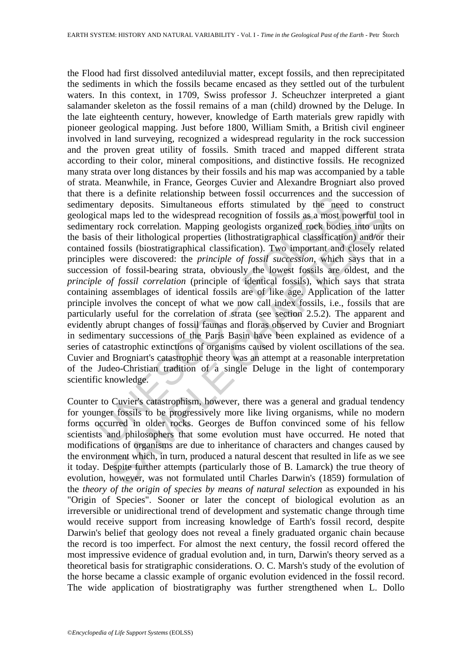er is a clemine transmission between loss of occurreds and the<br>tarry deposits. Simultaneous efforts stimulated by the need<br>cal maps led to the widespread recognition of fossils as a most p<br>tarry rock correlation. Mapping g maps led to the widespread recognition of fossils as a most powerful tot prock correlation. Mapping geologists organized rock bodies into unit fuel it thological properties (lithostratigraphical classification). Two import the Flood had first dissolved antediluvial matter, except fossils, and then reprecipitated the sediments in which the fossils became encased as they settled out of the turbulent waters. In this context, in 1709, Swiss professor J. Scheuchzer interpreted a giant salamander skeleton as the fossil remains of a man (child) drowned by the Deluge. In the late eighteenth century, however, knowledge of Earth materials grew rapidly with pioneer geological mapping. Just before 1800, William Smith, a British civil engineer involved in land surveying, recognized a widespread regularity in the rock succession and the proven great utility of fossils. Smith traced and mapped different strata according to their color, mineral compositions, and distinctive fossils. He recognized many strata over long distances by their fossils and his map was accompanied by a table of strata. Meanwhile, in France, Georges Cuvier and Alexandre Brogniart also proved that there is a definite relationship between fossil occurrences and the succession of sedimentary deposits. Simultaneous efforts stimulated by the need to construct geological maps led to the widespread recognition of fossils as a most powerful tool in sedimentary rock correlation. Mapping geologists organized rock bodies into units on the basis of their lithological properties (lithostratigraphical classification) and/or their contained fossils (biostratigraphical classification). Two important and closely related principles were discovered: the *principle of fossil succession*, which says that in a succession of fossil-bearing strata, obviously the lowest fossils are oldest, and the *principle of fossil correlation* (principle of identical fossils), which says that strata containing assemblages of identical fossils are of like age. Application of the latter principle involves the concept of what we now call index fossils, i.e., fossils that are particularly useful for the correlation of strata (see section 2.5.2). The apparent and evidently abrupt changes of fossil faunas and floras observed by Cuvier and Brogniart in sedimentary successions of the Paris Basin have been explained as evidence of a series of catastrophic extinctions of organisms caused by violent oscillations of the sea. Cuvier and Brogniart's catastrophic theory was an attempt at a reasonable interpretation of the Judeo-Christian tradition of a single Deluge in the light of contemporary scientific knowledge.

Counter to Cuvier's catastrophism, however, there was a general and gradual tendency for younger fossils to be progressively more like living organisms, while no modern forms occurred in older rocks. Georges de Buffon convinced some of his fellow scientists and philosophers that some evolution must have occurred. He noted that modifications of organisms are due to inheritance of characters and changes caused by the environment which, in turn, produced a natural descent that resulted in life as we see it today. Despite further attempts (particularly those of B. Lamarck) the true theory of evolution, however, was not formulated until Charles Darwin's (1859) formulation of the *theory of the origin of species by means of natural selection* as expounded in his "Origin of Species". Sooner or later the concept of biological evolution as an irreversible or unidirectional trend of development and systematic change through time would receive support from increasing knowledge of Earth's fossil record, despite Darwin's belief that geology does not reveal a finely graduated organic chain because the record is too imperfect. For almost the next century, the fossil record offered the most impressive evidence of gradual evolution and, in turn, Darwin's theory served as a theoretical basis for stratigraphic considerations. O. C. Marsh's study of the evolution of the horse became a classic example of organic evolution evidenced in the fossil record. The wide application of biostratigraphy was further strengthened when L. Dollo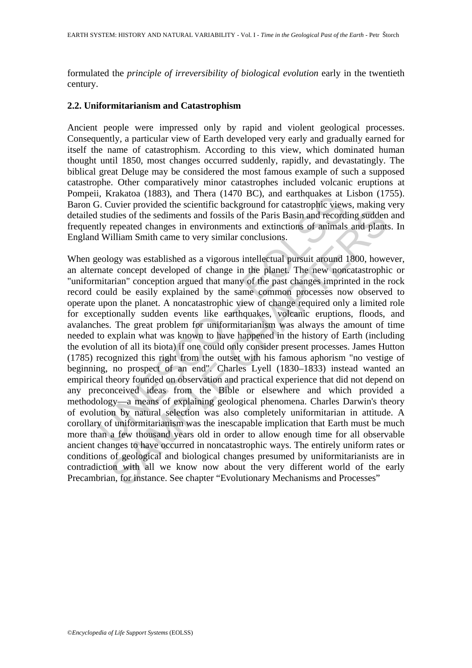formulated the *principle of irreversibility of biological evolution* early in the twentieth century.

### **2.2. Uniformitarianism and Catastrophism**

Ancient people were impressed only by rapid and violent geological processes. Consequently, a particular view of Earth developed very early and gradually earned for itself the name of catastrophism. According to this view, which dominated human thought until 1850, most changes occurred suddenly, rapidly, and devastatingly. The biblical great Deluge may be considered the most famous example of such a supposed catastrophe. Other comparatively minor catastrophes included volcanic eruptions at Pompeii, Krakatoa (1883), and Thera (1470 BC), and earthquakes at Lisbon (1755). Baron G. Cuvier provided the scientific background for catastrophic views, making very detailed studies of the sediments and fossils of the Paris Basin and recording sudden and frequently repeated changes in environments and extinctions of animals and plants. In England William Smith came to very similar conclusions.

I, Knakado (1665), and Thera (1470 BC, and calculates at (1470 BC, and calculates at the selectific background for catastrophic view studies of the sediments and fossils of the Paris Basin and record<br>Ity reprovided the sci ddies of the sediments and fossils of the Paris Basin and recording sudden<br>repeated changes in environments and extinctions of animals and plant<br>filliam Smith came to very similar conclusions.<br>Sugy was established as a vig When geology was established as a vigorous intellectual pursuit around 1800, however, an alternate concept developed of change in the planet. The new noncatastrophic or "uniformitarian" conception argued that many of the past changes imprinted in the rock record could be easily explained by the same common processes now observed to operate upon the planet. A noncatastrophic view of change required only a limited role for exceptionally sudden events like earthquakes, volcanic eruptions, floods, and avalanches. The great problem for uniformitarianism was always the amount of time needed to explain what was known to have happened in the history of Earth (including the evolution of all its biota) if one could only consider present processes. James Hutton (1785) recognized this right from the outset with his famous aphorism "no vestige of beginning, no prospect of an end". Charles Lyell (1830–1833) instead wanted an empirical theory founded on observation and practical experience that did not depend on any preconceived ideas from the Bible or elsewhere and which provided a methodology—a means of explaining geological phenomena. Charles Darwin's theory of evolution by natural selection was also completely uniformitarian in attitude. A corollary of uniformitarianism was the inescapable implication that Earth must be much more than a few thousand years old in order to allow enough time for all observable ancient changes to have occurred in noncatastrophic ways. The entirely uniform rates or conditions of geological and biological changes presumed by uniformitarianists are in contradiction with all we know now about the very different world of the early Precambrian, for instance. See chapter "Evolutionary Mechanisms and Processes"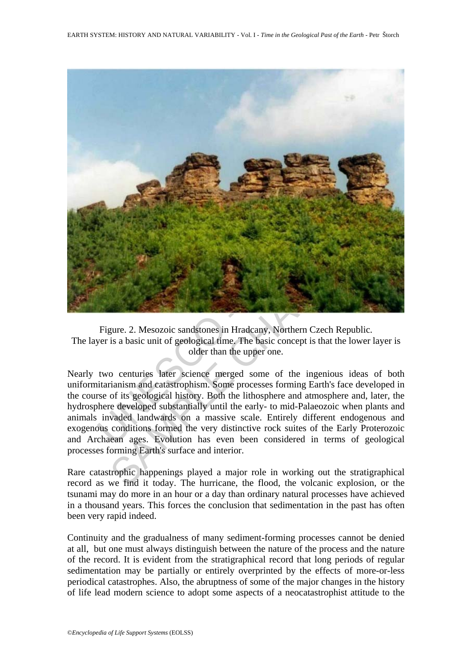

Figure. 2. Mesozoic sandstones in Hradcany, Northern Czech Republic. The layer is a basic unit of geological time. The basic concept is that the lower layer is older than the upper one.

Nearly two centuries later science merged some of the ingenious ideas of both uniformitarianism and catastrophism. Some processes forming Earth's face developed in the course of its geological history. Both the lithosphere and atmosphere and, later, the hydrosphere developed substantially until the early- to mid-Palaeozoic when plants and animals invaded landwards on a massive scale. Entirely different endogenous and exogenous conditions formed the very distinctive rock suites of the Early Proterozoic and Archaean ages. Evolution has even been considered in terms of geological processes forming Earth's surface and interior.

Rare catastrophic happenings played a major role in working out the stratigraphical record as we find it today. The hurricane, the flood, the volcanic explosion, or the tsunami may do more in an hour or a day than ordinary natural processes have achieved in a thousand years. This forces the conclusion that sedimentation in the past has often been very rapid indeed.

Continuity and the gradualness of many sediment-forming processes cannot be denied at all, but one must always distinguish between the nature of the process and the nature of the record. It is evident from the stratigraphical record that long periods of regular sedimentation may be partially or entirely overprinted by the effects of more-or-less periodical catastrophes. Also, the abruptness of some of the major changes in the history of life lead modern science to adopt some aspects of a neocatastrophist attitude to the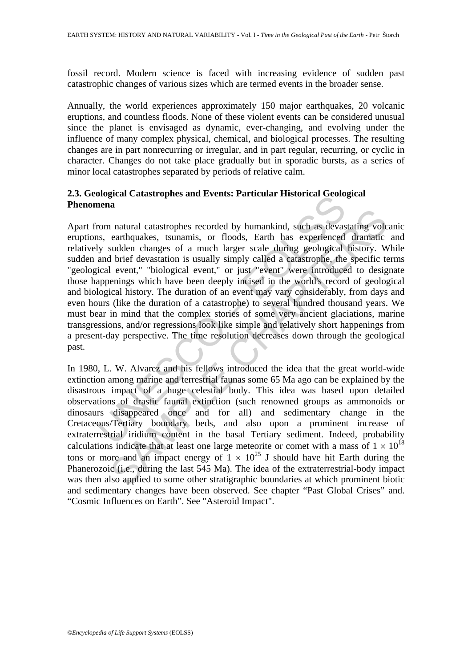fossil record. Modern science is faced with increasing evidence of sudden past catastrophic changes of various sizes which are termed events in the broader sense.

Annually, the world experiences approximately 150 major earthquakes, 20 volcanic eruptions, and countless floods. None of these violent events can be considered unusual since the planet is envisaged as dynamic, ever-changing, and evolving under the influence of many complex physical, chemical, and biological processes. The resulting changes are in part nonrecurring or irregular, and in part regular, recurring, or cyclic in character. Changes do not take place gradually but in sporadic bursts, as a series of minor local catastrophes separated by periods of relative calm.

# **2.3. Geological Catastrophes and Events: Particular Historical Geological Phenomena**

nogram Catastrophes and Events. Farticular Instorted Geoto,<br>nena<br>mena<br>mena<br>mena<br>mena<br>mena<br>mena correlation is usually simply called menass of a more and brief devastation is usually simply called a enter," biological event The natural catastrophes recorded by humankind, such as devastating vole earthquakes, tsunamis, or floods, Earth has experienced dramatic sudden changes of a much larger scale during geological history. We brief devastati Apart from natural catastrophes recorded by humankind, such as devastating volcanic eruptions, earthquakes, tsunamis, or floods, Earth has experienced dramatic and relatively sudden changes of a much larger scale during geological history. While sudden and brief devastation is usually simply called a catastrophe, the specific terms "geological event," "biological event," or just "event" were introduced to designate those happenings which have been deeply incised in the world's record of geological and biological history. The duration of an event may vary considerably, from days and even hours (like the duration of a catastrophe) to several hundred thousand years. We must bear in mind that the complex stories of some very ancient glaciations, marine transgressions, and/or regressions look like simple and relatively short happenings from a present-day perspective. The time resolution decreases down through the geological past.

In 1980, L. W. Alvarez and his fellows introduced the idea that the great world-wide extinction among marine and terrestrial faunas some 65 Ma ago can be explained by the disastrous impact of a huge celestial body. This idea was based upon detailed observations of drastic faunal extinction (such renowned groups as ammonoids or dinosaurs disappeared once and for all) and sedimentary change in the Cretaceous/Tertiary boundary beds, and also upon a prominent increase of extraterrestrial iridium content in the basal Tertiary sediment. Indeed, probability calculations indicate that at least one large meteorite or comet with a mass of  $1 \times 10^{18}$ tons or more and an impact energy of  $1 \times 10^{25}$  J should have hit Earth during the Phanerozoic (i.e., during the last 545 Ma). The idea of the extraterrestrial-body impact was then also applied to some other stratigraphic boundaries at which prominent biotic and sedimentary changes have been observed. See chapter "Past Global Crises" and. "Cosmic Influences on Earth". See "Asteroid Impact".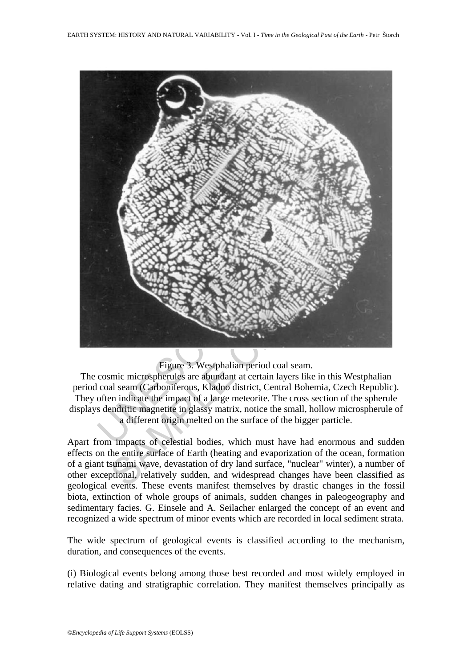

# Figure 3. Westphalian period coal seam.

The cosmic microspherules are abundant at certain layers like in this Westphalian period coal seam (Carboniferous, Kladno district, Central Bohemia, Czech Republic). They often indicate the impact of a large meteorite. The cross section of the spherule displays dendritic magnetite in glassy matrix, notice the small, hollow microspherule of a different origin melted on the surface of the bigger particle.

Apart from impacts of celestial bodies, which must have had enormous and sudden effects on the entire surface of Earth (heating and evaporization of the ocean, formation of a giant tsunami wave, devastation of dry land surface, "nuclear" winter), a number of other exceptional, relatively sudden, and widespread changes have been classified as geological events. These events manifest themselves by drastic changes in the fossil biota, extinction of whole groups of animals, sudden changes in paleogeography and sedimentary facies. G. Einsele and A. Seilacher enlarged the concept of an event and recognized a wide spectrum of minor events which are recorded in local sediment strata.

The wide spectrum of geological events is classified according to the mechanism, duration, and consequences of the events.

(i) Biological events belong among those best recorded and most widely employed in relative dating and stratigraphic correlation. They manifest themselves principally as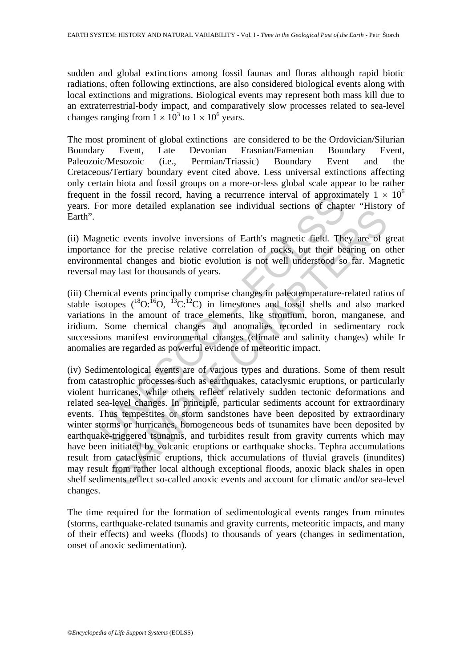sudden and global extinctions among fossil faunas and floras although rapid biotic radiations, often following extinctions, are also considered biological events along with local extinctions and migrations. Biological events may represent both mass kill due to an extraterrestrial-body impact, and comparatively slow processes related to sea-level changes ranging from  $1 \times 10^3$  to  $1 \times 10^6$  years.

The most prominent of global extinctions are considered to be the Ordovician/Silurian Boundary Event, Late Devonian Frasnian/Famenian Boundary Event, Paleozoic/Mesozoic (i.e., Permian/Triassic) Boundary Event and the Cretaceous/Tertiary boundary event cited above. Less universal extinctions affecting only certain biota and fossil groups on a more-or-less global scale appear to be rather frequent in the fossil record, having a recurrence interval of approximately  $1 \times 10^6$ years. For more detailed explanation see individual sections of chapter "History of Earth".

(ii) Magnetic events involve inversions of Earth's magnetic field. They are of great importance for the precise relative correlation of rocks, but their bearing on other environmental changes and biotic evolution is not well understood so far. Magnetic reversal may last for thousands of years.

(iii) Chemical events principally comprise changes in paleotemperature-related ratios of stable isotopes  $({}^{18}O; {}^{15}O, {}^{13}C; {}^{12}C)$  in limestones and fossil shells and also marked variations in the amount of trace elements, like strontium, boron, manganese, and iridium. Some chemical changes and anomalies recorded in sedimentary rock successions manifest environmental changes (climate and salinity changes) while Ir anomalies are regarded as powerful evidence of meteoritic impact.

If the rossil record, naving a recurrence interval of approximation<br>For more detailed explanation see individual sections of chapt<br>gnetic events involve inversions of Earth's magnetic field. The<br>nee for the precise relati more ucuned expansion see individual seculous or empirer ansion<br>tic events involve inversions of Earth's magnetic field. They are of  $\frac{1}{2}$  for the precise relative correlation of rocks, but their bearing on c<br>trad cha (iv) Sedimentological events are of various types and durations. Some of them result from catastrophic processes such as earthquakes, cataclysmic eruptions, or particularly violent hurricanes, while others reflect relatively sudden tectonic deformations and related sea-level changes. In principle, particular sediments account for extraordinary events. Thus tempestites or storm sandstones have been deposited by extraordinary winter storms or hurricanes, homogeneous beds of tsunamites have been deposited by earthquake-triggered tsunamis, and turbidites result from gravity currents which may have been initiated by volcanic eruptions or earthquake shocks. Tephra accumulations result from cataclysmic eruptions, thick accumulations of fluvial gravels (inundites) may result from rather local although exceptional floods, anoxic black shales in open shelf sediments reflect so-called anoxic events and account for climatic and/or sea-level changes.

The time required for the formation of sedimentological events ranges from minutes (storms, earthquake-related tsunamis and gravity currents, meteoritic impacts, and many of their effects) and weeks (floods) to thousands of years (changes in sedimentation, onset of anoxic sedimentation).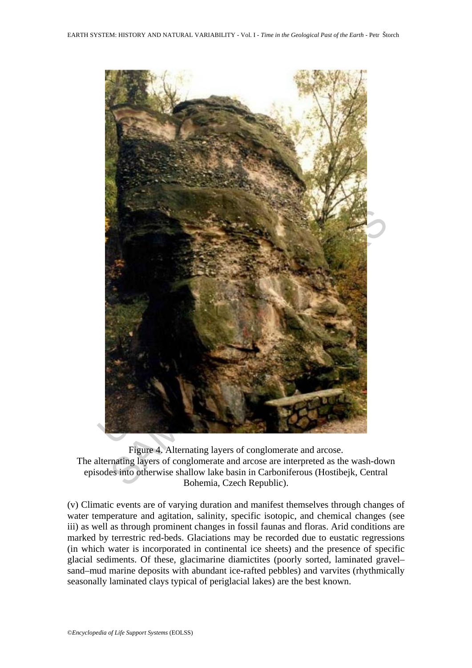

Figure 4. Alternating layers of conglomerate and arcose. The alternating layers of conglomerate and arcose are interpreted as the wash-down episodes into otherwise shallow lake basin in Carboniferous (Hostibejk, Central Bohemia, Czech Republic).

(v) Climatic events are of varying duration and manifest themselves through changes of water temperature and agitation, salinity, specific isotopic, and chemical changes (see iii) as well as through prominent changes in fossil faunas and floras. Arid conditions are marked by terrestric red-beds. Glaciations may be recorded due to eustatic regressions (in which water is incorporated in continental ice sheets) and the presence of specific glacial sediments. Of these, glacimarine diamictites (poorly sorted, laminated gravel– sand–mud marine deposits with abundant ice-rafted pebbles) and varvites (rhythmically seasonally laminated clays typical of periglacial lakes) are the best known.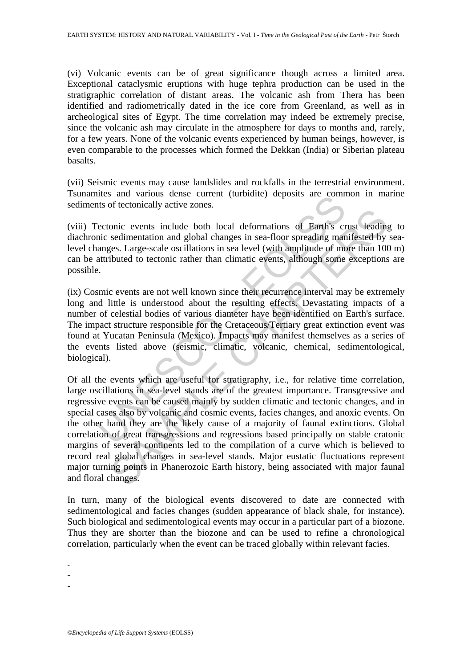(vi) Volcanic events can be of great significance though across a limited area. Exceptional cataclysmic eruptions with huge tephra production can be used in the stratigraphic correlation of distant areas. The volcanic ash from Thera has been identified and radiometrically dated in the ice core from Greenland, as well as in archeological sites of Egypt. The time correlation may indeed be extremely precise, since the volcanic ash may circulate in the atmosphere for days to months and, rarely, for a few years. None of the volcanic events experienced by human beings, however, is even comparable to the processes which formed the Dekkan (India) or Siberian plateau basalts.

(vii) Seismic events may cause landslides and rockfalls in the terrestrial environment. Tsunamites and various dense current (turbidite) deposits are common in marine sediments of tectonically active zones.

(viii) Tectonic events include both local deformations of Earth's crust leading to diachronic sedimentation and global changes in sea-floor spreading manifested by sealevel changes. Large-scale oscillations in sea level (with amplitude of more than 100 m) can be attributed to tectonic rather than climatic events, although some exceptions are possible.

these and various dense current (unionity) deposits are commits of tectonically active zones.<br>
Sectonic events include both local deformations of Earth's critics sedimentation and global changes in sea-floor spreading mana (ix) Cosmic events are not well known since their recurrence interval may be extremely long and little is understood about the resulting effects. Devastating impacts of a number of celestial bodies of various diameter have been identified on Earth's surface. The impact structure responsible for the Cretaceous/Tertiary great extinction event was found at Yucatan Peninsula (Mexico). Impacts may manifest themselves as a series of the events listed above (seismic, climatic, volcanic, chemical, sedimentological, biological).

onic events include both local deformations of Earth's crust leading<br>sedimentation and global changes in sea-floor spreading manifested by<br>segs. Large-scale oscillations in sea level (with amplitude of more than 10<br>tibuted Of all the events which are useful for stratigraphy, i.e., for relative time correlation, large oscillations in sea-level stands are of the greatest importance. Transgressive and regressive events can be caused mainly by sudden climatic and tectonic changes, and in special cases also by volcanic and cosmic events, facies changes, and anoxic events. On the other hand they are the likely cause of a majority of faunal extinctions. Global correlation of great transgressions and regressions based principally on stable cratonic margins of several continents led to the compilation of a curve which is believed to record real global changes in sea-level stands. Major eustatic fluctuations represent major turning points in Phanerozoic Earth history, being associated with major faunal and floral changes.

In turn, many of the biological events discovered to date are connected with sedimentological and facies changes (sudden appearance of black shale, for instance). Such biological and sedimentological events may occur in a particular part of a biozone. Thus they are shorter than the biozone and can be used to refine a chronological correlation, particularly when the event can be traced globally within relevant facies.

-

-

-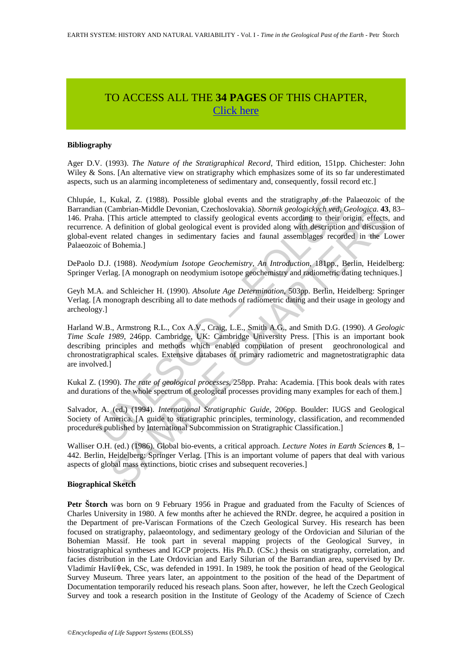# TO ACCESS ALL THE **34 PAGES** OF THIS CHAPTER, [Click here](https://www.eolss.net/ebooklib/sc_cart.aspx?File=E1-01-02-03)

### **Bibliography**

Ager D.V. (1993). *The Nature of the Stratigraphical Record*, Third edition, 151pp. Chichester: John Wiley  $\&$  Sons. [An alternative view on stratigraphy which emphasizes some of its so far underestimated aspects, such us an alarming incompleteness of sedimentary and, consequently, fossil record etc.]

I., Kukal, Z. (1988). Possible global events and the stratigraphy of the in (Cambrian-Middle Devonian, Czechoslovakia). Sbornik geologick/h ved, Cansin and Cambrian-Cachoslovakia). Sbornik geological event according to the Chlupáe, I., Kukal, Z. (1988). Possible global events and the stratigraphy of the Palaeozoic of the Barrandian (Cambrian-Middle Devonian, Czechoslovakia). *Sbornik geologickych ved, Geologica*. **43**, 83– 146. Praha. [This article attempted to classify geological events according to their origin, effects, and recurrence. A definition of global geological event is provided along with description and discussion of global-event related changes in sedimentary facies and faunal assemblages recorded in the Lower Palaeozoic of Bohemia.]

DePaolo D.J. (1988). *Neodymium Isotope Geochemistry, An Introduction*, 181pp., Berlin, Heidelberg: Springer Verlag. [A monograph on neodymium isotope geochemistry and radiometric dating techniques.]

Geyh M.A. and Schleicher H. (1990). *Absolute Age Determination*, 503pp. Berlin, Heidelberg: Springer Verlag. [A monograph describing all to date methods of radiometric dating and their usage in geology and archeology.]

Cambran-Middle Devonan, Czcehoslovakia). *Sbornik geologickych ved (ieologica, 43*<br>
This article attempted to classify geological events according to their origin, effects<br>
definition of global geological event is provided Harland W.B., Armstrong R.L., Cox A.V., Craig, L.E., Smith A.G., and Smith D.G. (1990). *A Geologic Time Scale 1989*, 246pp. Cambridge, UK: Cambridge University Press. [This is an important book describing principles and methods which enabled compilation of present geochronological and chronostratigraphical scales. Extensive databases of primary radiometric and magnetostratigraphic data are involved.]

Kukal Z. (1990). *The rate of geological processes*, 258pp. Praha: Academia. [This book deals with rates and durations of the whole spectrum of geological processes providing many examples for each of them.]

Salvador, A. (ed.) (1994). *International Stratigraphic Guide*, 206pp. Boulder: IUGS and Geological Society of America. [A guide to stratigraphic principles, terminology, classification, and recommended procedures published by International Subcommission on Stratigraphic Classification.]

Walliser O.H. (ed.) (1986). Global bio-events, a critical approach. *Lecture Notes in Earth Sciences* **8**, 1– 442. Berlin, Heidelberg: Springer Verlag. [This is an important volume of papers that deal with various aspects of global mass extinctions, biotic crises and subsequent recoveries.]

#### **Biographical Sketch**

**Petr Štorch** was born on 9 February 1956 in Prague and graduated from the Faculty of Sciences of Charles University in 1980. A few months after he achieved the RNDr. degree, he acquired a position in the Department of pre-Variscan Formations of the Czech Geological Survey. His research has been focused on stratigraphy, palaeontology, and sedimentary geology of the Ordovician and Silurian of the Bohemian Massif. He took part in several mapping projects of the Geological Survey, in biostratigraphical syntheses and IGCP projects. His Ph.D. (CSc.) thesis on stratigraphy, correlation, and facies distribution in the Late Ordovician and Early Silurian of the Barrandian area, supervised by Dr. Vladimír Havlí $\text{\textdegree{ek}}$ , CSc, was defended in 1991. In 1989, he took the position of head of the Geological Survey Museum. Three years later, an appointment to the position of the head of the Department of Documentation temporarily reduced his reseach plans. Soon after, however, he left the Czech Geological Survey and took a research position in the Institute of Geology of the Academy of Science of Czech